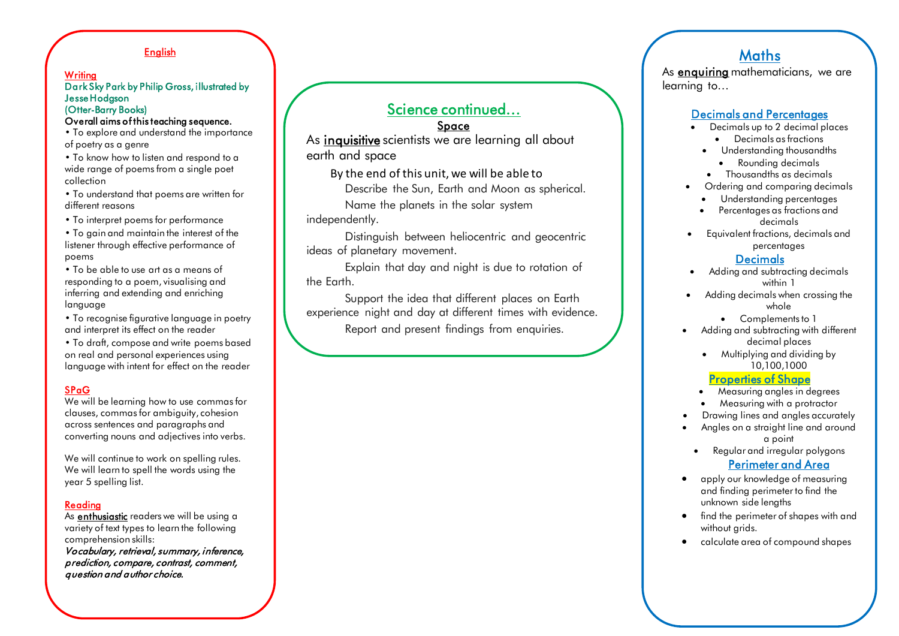### English

#### **Writing** Dark Sky Park by Philip Gross, illustrated by Jesse Hodgson (Otter-Barry Books)

#### Overall aims of this teaching sequence.

• To explore and understand the importance of poetry as a genre

• To know how to listen and respond to a wide range of poems from a single poet collection

• To understand that poems are written for different reasons

• To interpret poems for performance

- To gain and maintain the interest of the listener through effective performance of poems
- To be able to use art as a means of responding to a poem, visualising and inferring and extending and enriching language
- To recognise figurative language in poetry and interpret its effect on the reader

• To draft, compose and write poems based on real and personal experiences using language with intent for effect on the reader

### SPaG

We will be learning how to use commas for clauses, commas for ambiguity, cohesion across sentences and paragraphs and converting nouns and adjectives into verbs.

We will continue to work on spelling rules. We will learn to spell the words using the year 5 spelling list.

#### Reading

As **enthusiastic** readers we will be using a variety of text types to learn the following comprehension skills: Vocabulary, retrieval, summary, inference,

prediction, compare, contrast, comment, question and author choice.

# Science continued…

### Space

As inquisitive scientists we are learning all about earth and space

By the end of this unit, we will be able to

Describe the Sun, Earth and Moon as spherical.

Name the planets in the solar system

independently.

Distinguish between heliocentric and geocentric ideas of planetary movement.

Explain that day and night is due to rotation of the Earth.

Support the idea that different places on Earth experience night and day at different times with evidence.

Report and present findings from enquiries.

 $E = \frac{1}{2}$ 

# **Maths**

As enquiring mathematicians, we are learning to…

### Decimals and Percentages

- Decimals up to 2 decimal places
	- Decimals as fractions
	- Understanding thousandths
		- Rounding decimals
	- Thousandths as decimals
- Ordering and comparing decimals
	- Understanding percentages
	- Percentages as fractions and decimals
- Equivalent fractions, decimals and percentages

### Decimals

- Adding and subtracting decimals within 1
- Adding decimals when crossing the whole
	- Complements to 1
- Adding and subtracting with different decimal places
	- Multiplying and dividing by 10,100,1000

#### Properties of Shape

- Measuring angles in degrees
- Measuring with a protractor
- Drawing lines and angles accurately
- Angles on a straight line and around a point
	- Regular and irregular polygons

### Perimeter and Area

- apply our knowledge of measuring and finding perimeter to find the unknown side lengths
- find the perimeter of shapes with and without arids.
- calculate area of compound shapes